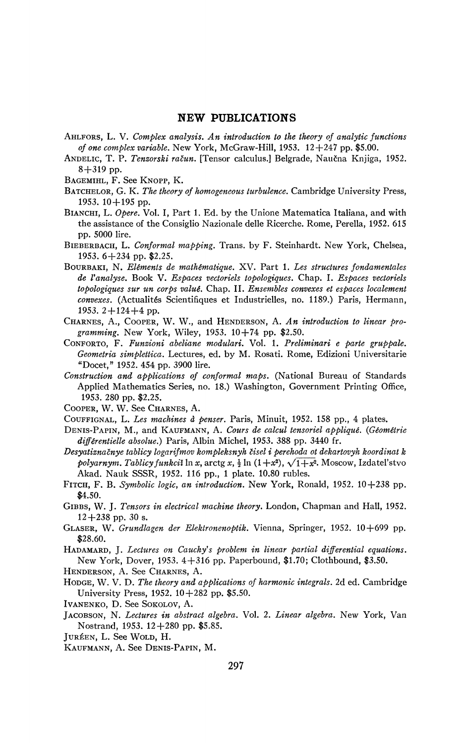## **NEW PUBLICATIONS**

- AHLFORS, L. V. *Complex analysis. An introduction to the theory of analytic functions of one complex variable.* New York, McGraw-Hill, 1953. 12+247 pp. \$5.00.
- ANDELIC, T. P. *Tenzorski račun*. [Tensor calculus.] Belgrade, Naučna Knjiga, 1952. 8+319 pp.
- BAGEMIHL, F. See KNOPP, K.
- BATCHELOR, G. K. *The theory of homogeneous turbulence.* Cambridge University Press, 1953. 10 + 195 pp.
- BIANCHI, L. *Opère.* Vol. I, Part 1. Ed. by the Unione Matematica Italiana, and with the assistance of the Consiglio Nazionale delle Ricerche. Rome, Perella, 1952. 615 pp. 5000 lire.
- BIEBERBACH, L. *Conformai mapping.* Trans, by F. Steinhardt. New York, Chelsea, 1953.  $6+234$  pp. \$2.25.
- BOURBAKI, N. *Eléments de mathématique.* XV. Part 1. *Les structures fondamentales de Vanalyse.* Book V. *Espaces vectoriels topologiques.* Chap. I. *Espaces vectoriels topologiques sur un corps value.* Chap. II. *Ensembles convexes et espaces localement convexes.* (Actualités Scientifiques et Industrielles, no. 1189.) Paris, Hermann, 1953.  $2 + 124 + 4$  pp.
- CHARNES, A., COOPER, W. W., and HENDERSON, A. *An introduction to linear programming.* New York, Wiley, 1953. 10+74 pp. \$2.50.
- CONFORTO, F. *Funzioni abeliane modulari.* Vol. 1. *Preliminari e parte gruppale. Geometria simplettica.* Lectures, ed. by M. Rosati. Rome, Edizioni Universitarie "Docet," 1952. 454 pp. 3900 lire.
- *Construction and applications of conformai maps.* (National Bureau of Standards Applied Mathematics Series, no. 18.) Washington, Government Printing Office, 1953. 280 pp. \$2.25.
- COOPER, W. W. See CHARNES, A.
- COUFFIGNAL, L. *Les machines à penser.* Paris, Minuit, 1952. 158 pp., 4 plates.
- DENIS-PAPIN, M., and KAUFMANN, A. *Cours de calcul tensoriel appliqué. {Géométrie différentielle absolue.)* Paris, Albin Michel, 1953. 388 pp. 3440 fr.
- Desyatiznačnye tablicy logarifmov kompleksnyh čisel i perehoda ot dekartovyh koordinat k  $\emph{polyarnym}. \textit{Table 1}$  funkcii  $\ln x$ , arctg  $x$ ,  $\frac{1}{2} \ln \left(1+x^2\right), \sqrt{1+x^2}.$  Moscow, Izdatel'stvo Akad. Nauk SSSR, 1952. 116 pp., 1 plate. 10.80 rubles.
- FITCH, F. B. *Symbolic logic, an introduction.* New York, Ronald, 1952. 10+238 pp. \$4.50.
- GIBBS, W. J. *Tensors in electrical machine theory.* London, Chapman and Hall, 1952.  $12+238$  pp. 30 s.
- GLASER, W. *Grundlagen der Elektronenoptik.* Vienna, Springer, 1952. 10+699 pp. \$28.60.
- HADAMARD, J. *Lectures on Cauchy's problem in linear partial differential equations.*  New York, Dover, 1953. 4+316 pp. Paperbound, \$1.70; Clothbound, \$3.50.
- HENDERSON, A. See CHARNES, A.
- HODGE, W. V. D. *The theory and applications of harmonic integrals.* 2d ed. Cambridge University Press, 1952. 10+282 pp. \$5.50.

IVANENKO, D. See SOKOLOV, A.

- JACOBSON, N. *Lectures in abstract algebra.* Vol. 2. *Linear algebra.* New York, Van Nostrand, 1953. 12+280 pp. \$5.85.
- JURÉEN, L. See WOLD, H.
- KAUFMANN, A. See DENIS-PAPIN, M.